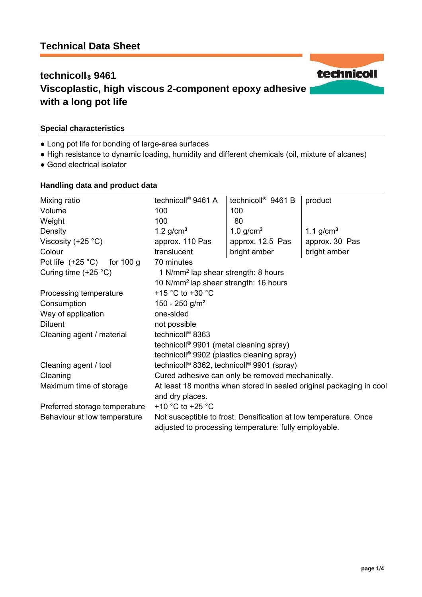# **technicoll® 9461 Viscoplastic, high viscous 2-component epoxy adhesive with a long pot life**

### **Special characteristics**

- Long pot life for bonding of large-area surfaces
- High resistance to dynamic loading, humidity and different chemicals (oil, mixture of alcanes)
- Good electrical isolator

### **Handling data and product data**

| Mixing ratio<br>Volume<br>Weight | technicoll <sup>®</sup> 9461 A<br>100<br>100                                                                              | technicoll <sup>®</sup> 9461 B<br>100<br>80 | product        |
|----------------------------------|---------------------------------------------------------------------------------------------------------------------------|---------------------------------------------|----------------|
| Density                          | 1.2 $g/cm3$                                                                                                               | 1.0 $g/cm3$                                 | 1.1 $g/cm3$    |
| Viscosity $(+25 °C)$             | approx. 110 Pas                                                                                                           | approx. 12.5 Pas                            | approx. 30 Pas |
| Colour                           | translucent                                                                                                               | bright amber                                | bright amber   |
| Pot life $(+25 °C)$ for 100 g    | 70 minutes                                                                                                                |                                             |                |
| Curing time $(+25 °C)$           | 1 N/mm <sup>2</sup> lap shear strength: 8 hours                                                                           |                                             |                |
|                                  | 10 N/mm <sup>2</sup> lap shear strength: 16 hours                                                                         |                                             |                |
| Processing temperature           | +15 $^{\circ}$ C to +30 $^{\circ}$ C                                                                                      |                                             |                |
| Consumption                      | 150 - 250 g/m <sup>2</sup>                                                                                                |                                             |                |
| Way of application               | one-sided                                                                                                                 |                                             |                |
| <b>Diluent</b>                   | not possible                                                                                                              |                                             |                |
| Cleaning agent / material        | technicoll <sup>®</sup> 8363                                                                                              |                                             |                |
|                                  | technicoll <sup>®</sup> 9901 (metal cleaning spray)                                                                       |                                             |                |
|                                  | technicoll <sup>®</sup> 9902 (plastics cleaning spray)                                                                    |                                             |                |
| Cleaning agent / tool            | technicoll <sup>®</sup> 8362, technicoll <sup>®</sup> 9901 (spray)                                                        |                                             |                |
| Cleaning                         | Cured adhesive can only be removed mechanically.                                                                          |                                             |                |
| Maximum time of storage          | At least 18 months when stored in sealed original packaging in cool                                                       |                                             |                |
|                                  | and dry places.                                                                                                           |                                             |                |
| Preferred storage temperature    | +10 $^{\circ}$ C to +25 $^{\circ}$ C                                                                                      |                                             |                |
| Behaviour at low temperature     | Not susceptible to frost. Densification at low temperature. Once<br>adjusted to processing temperature: fully employable. |                                             |                |

technicoll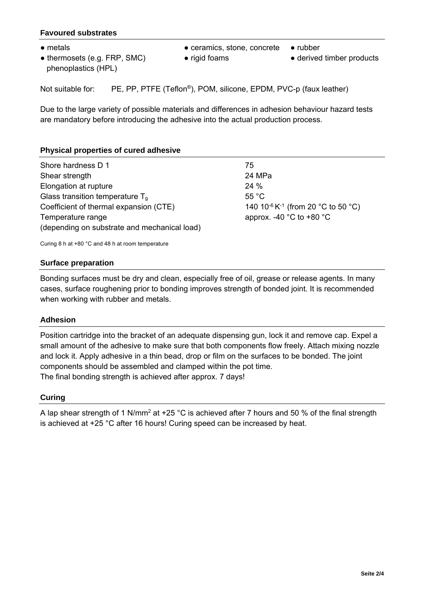### **Favoured substrates**

- 
- thermosets (e.g. FRP, SMC) phenoplastics (HPL)
- metals rubber rubber rubber rubber rubber → rubber
	-
- 
- rigid foams derived timber products

Not suitable for: PE, PP, PTFE (Teflon®), POM, silicone, EPDM, PVC-p (faux leather)

Due to the large variety of possible materials and differences in adhesion behaviour hazard tests are mandatory before introducing the adhesive into the actual production process.

### **Physical properties of cured adhesive**

| Shore hardness D 1                           | 75                                                         |  |
|----------------------------------------------|------------------------------------------------------------|--|
| Shear strength                               | 24 MPa                                                     |  |
| Elongation at rupture                        | 24%                                                        |  |
| Glass transition temperature $T_a$           | 55 $^{\circ}$ C                                            |  |
| Coefficient of thermal expansion (CTE)       | 140 10 <sup>-6</sup> K <sup>-1</sup> (from 20 °C to 50 °C) |  |
| Temperature range                            | approx. -40 $^{\circ}$ C to +80 $^{\circ}$ C               |  |
| (depending on substrate and mechanical load) |                                                            |  |
|                                              |                                                            |  |

Curing 8 h at +80 °C and 48 h at room temperature

### **Surface preparation**

Bonding surfaces must be dry and clean, especially free of oil, grease or release agents. In many cases, surface roughening prior to bonding improves strength of bonded joint. It is recommended when working with rubber and metals.

### **Adhesion**

Position cartridge into the bracket of an adequate dispensing gun, lock it and remove cap. Expel a small amount of the adhesive to make sure that both components flow freely. Attach mixing nozzle and lock it. Apply adhesive in a thin bead, drop or film on the surfaces to be bonded. The joint components should be assembled and clamped within the pot time. The final bonding strength is achieved after approx. 7 days!

### **Curing**

A lap shear strength of 1 N/mm2 at +25 °C is achieved after 7 hours and 50 % of the final strength is achieved at +25 °C after 16 hours! Curing speed can be increased by heat.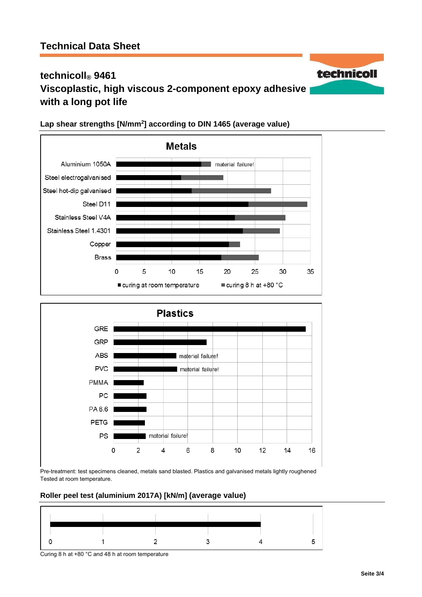# **technicoll® 9461 Viscoplastic, high viscous 2-component epoxy adhesive with a long pot life**



## **Lap shear strengths [N/mm2 ] according to DIN 1465 (average value)**



Pre-treatment: test specimens cleaned, metals sand blasted. Plastics and galvanised metals lightly roughened Tested at room temperature.

### **Roller peel test (aluminium 2017A) [kN/m] (average value)**



technicoll